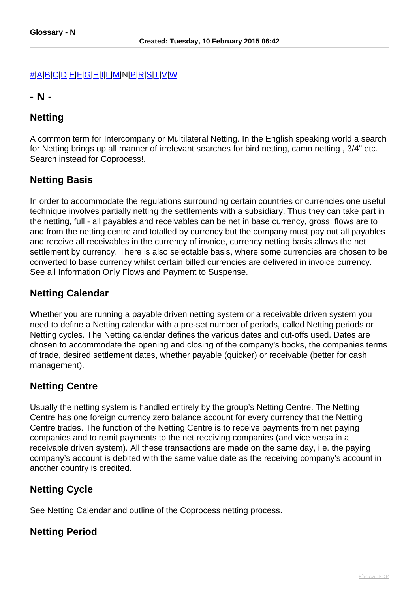#### [#](index.php?option=com_content&view=article&id=474&catid=40)[|A](index.php?option=com_content&view=article&id=475&catid=40)[|B](index.php?option=com_content&view=article&id=476&catid=40)|[C](index.php?option=com_content&view=article&id=477&catid=40)[|D](index.php?option=com_content&view=article&id=478&catid=40)[|E](index.php?option=com_content&view=article&id=479&catid=40)[|F|](index.php?option=com_content&view=article&id=480&catid=40)[G](index.php?option=com_content&view=article&id=481&catid=40)[|H|](index.php?option=com_content&view=article&id=482&catid=40)[I](index.php?option=com_content&view=article&id=483&catid=40)[|L](index.php?option=com_content&view=article&id=484&catid=40)[|M](index.php?option=com_content&view=article&id=485&catid=40)|N[|P](index.php?option=com_content&view=article&id=487&catid=40)[|R|](index.php?option=com_content&view=article&id=488&catid=40)[S](index.php?option=com_content&view=article&id=489&catid=40)[|T](index.php?option=com_content&view=article&id=490&catid=40)|[V|](index.php?option=com_content&view=article&id=491&catid=40)[W](index.php?option=com_content&view=article&id=492&catid=40)

#### **- N -**

# **Netting**

A common term for Intercompany or Multilateral Netting. In the English speaking world a search for Netting brings up all manner of irrelevant searches for bird netting, camo netting , 3/4" etc. Search instead for Coprocess!.

# **Netting Basis**

In order to accommodate the regulations surrounding certain countries or currencies one useful technique involves partially netting the settlements with a subsidiary. Thus they can take part in the netting, full - all payables and receivables can be net in base currency, gross, flows are to and from the netting centre and totalled by currency but the company must pay out all payables and receive all receivables in the currency of invoice, currency netting basis allows the net settlement by currency. There is also selectable basis, where some currencies are chosen to be converted to base currency whilst certain billed currencies are delivered in invoice currency. See all Information Only Flows and Payment to Suspense.

# **Netting Calendar**

Whether you are running a payable driven netting system or a receivable driven system you need to define a Netting calendar with a pre-set number of periods, called Netting periods or Netting cycles. The Netting calendar defines the various dates and cut-offs used. Dates are chosen to accommodate the opening and closing of the company's books, the companies terms of trade, desired settlement dates, whether payable (quicker) or receivable (better for cash management).

# **Netting Centre**

Usually the netting system is handled entirely by the group's Netting Centre. The Netting Centre has one foreign currency zero balance account for every currency that the Netting Centre trades. The function of the Netting Centre is to receive payments from net paying companies and to remit payments to the net receiving companies (and vice versa in a receivable driven system). All these transactions are made on the same day, i.e. the paying company's account is debited with the same value date as the receiving company's account in another country is credited.

# **Netting Cycle**

See Netting Calendar and outline of the Coprocess netting process.

#### **Netting Period**